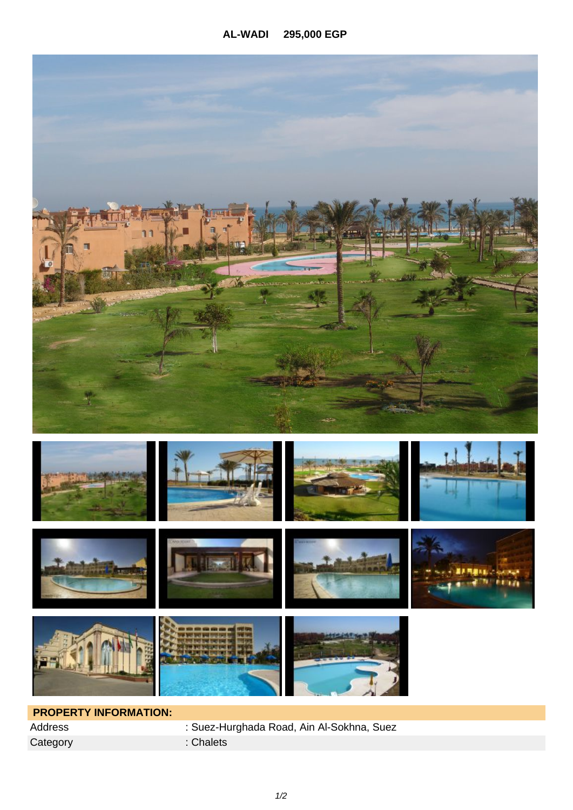

## **PROPERTY INFORMATION:**  Category : Chalets

Address : Suez-Hurghada Road, Ain Al-Sokhna, Suez